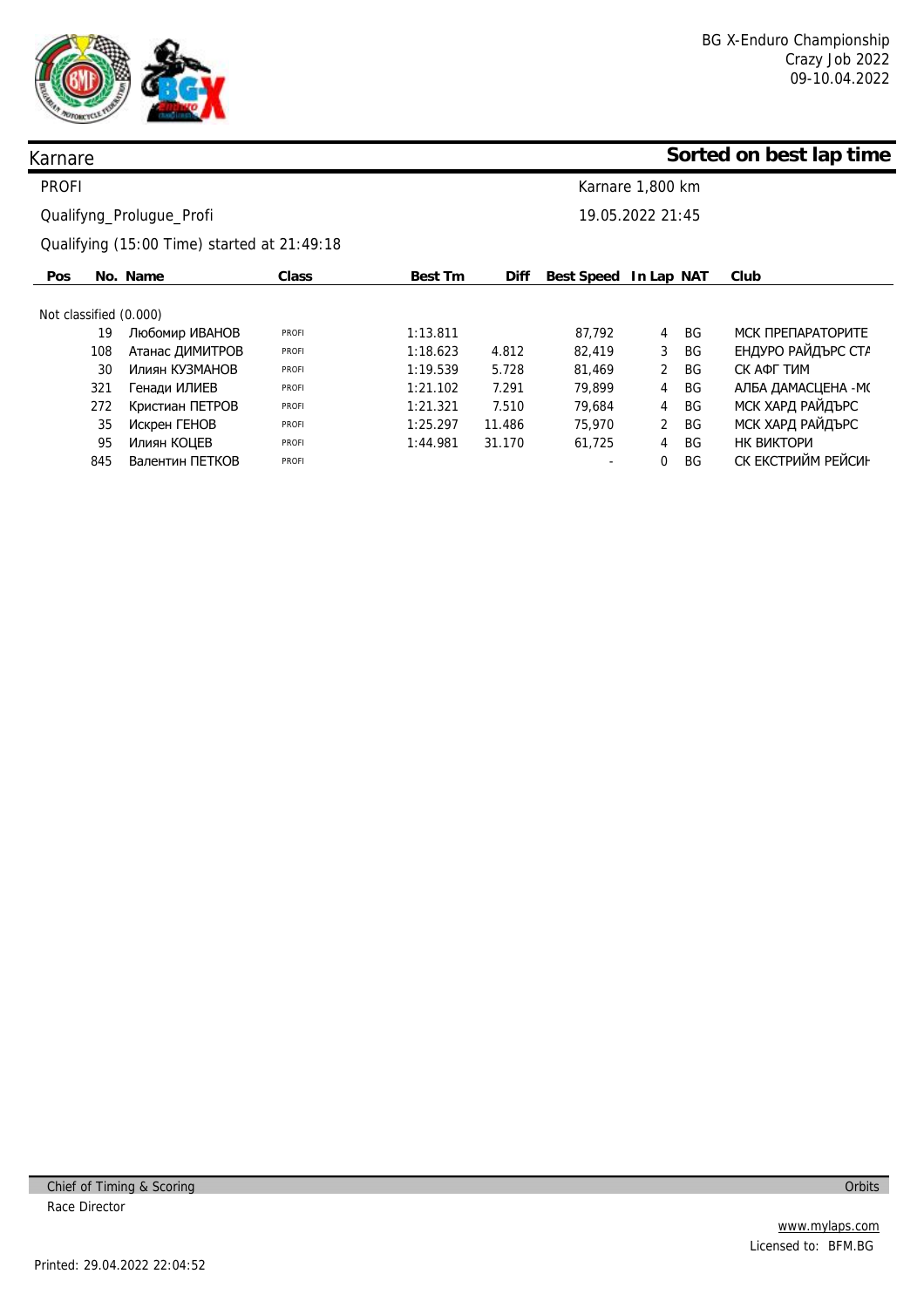

# **Sorted on best lap time**

| <b>PROFI</b>           | Karnare 1,800 km                             |                                             |              |          |             |                       |                |           |                    |
|------------------------|----------------------------------------------|---------------------------------------------|--------------|----------|-------------|-----------------------|----------------|-----------|--------------------|
|                        | 19.05.2022 21:45<br>Qualifyng_Prolugue_Profi |                                             |              |          |             |                       |                |           |                    |
|                        |                                              | Qualifying (15:00 Time) started at 21:49:18 |              |          |             |                       |                |           |                    |
| <b>Pos</b>             |                                              | No. Name                                    | Class        | Best Tm  | <b>Diff</b> | Best Speed In Lap NAT |                |           | Club               |
| Not classified (0.000) |                                              |                                             |              |          |             |                       |                |           |                    |
|                        | 19                                           | Любомир ИВАНОВ                              | <b>PROFI</b> | 1:13.811 |             | 87,792                | 4              | BG        | МСК ПРЕПАРАТОРИТЕ  |
|                        | 108                                          | Атанас ДИМИТРОВ                             | <b>PROFI</b> | 1:18.623 | 4.812       | 82,419                | 3              | BG.       | ЕНДУРО РАЙДЪРС СТА |
|                        | 30                                           | Илиян КУЗМАНОВ                              | <b>PROFI</b> | 1:19.539 | 5.728       | 81,469                | $\overline{2}$ | <b>BG</b> | СК АФГ ТИМ         |
|                        | 321                                          | Генади ИЛИЕВ                                | <b>PROFI</b> | 1:21.102 | 7.291       | 79,899                | 4              | BG        | АЛБА ДАМАСЦЕНА -М( |
|                        | 272                                          | Кристиан ПЕТРОВ                             | <b>PROFI</b> | 1:21.321 | 7.510       | 79.684                | 4              | <b>BG</b> | МСК ХАРД РАЙДЪРС   |
|                        | 35                                           | Искрен ГЕНОВ                                | <b>PROFI</b> | 1:25.297 | 11.486      | 75,970                | $\overline{2}$ | BG.       | МСК ХАРД РАЙДЪРС   |
|                        | 95                                           | Илиян КОЦЕВ                                 | <b>PROFI</b> | 1:44.981 | 31.170      | 61,725                | 4              | BG        | НК ВИКТОРИ         |
|                        | 845                                          | Валентин ПЕТКОВ                             | <b>PROFI</b> |          |             |                       | 0              | BG        | СК ЕКСТРИЙМ РЕЙСИН |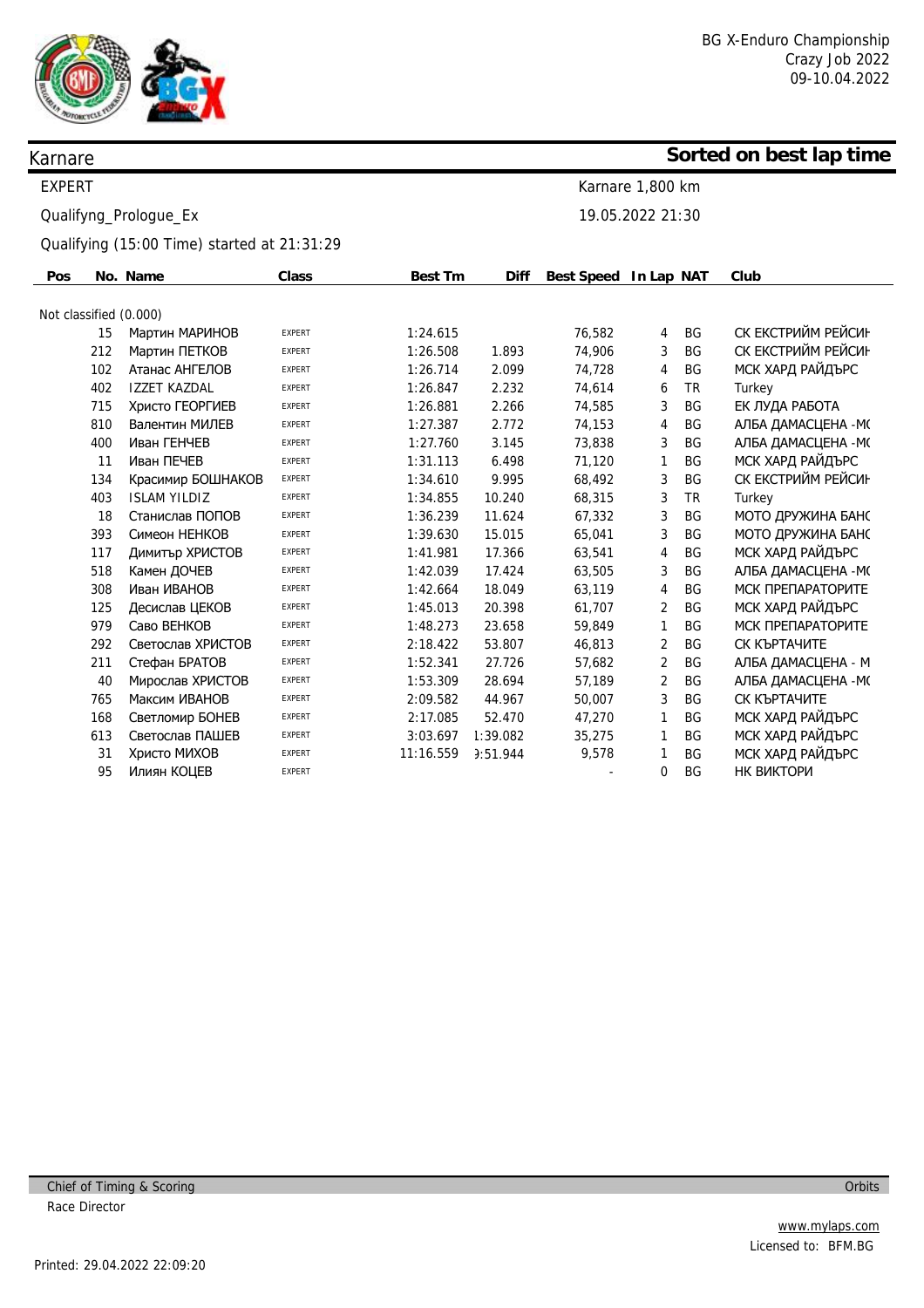

### **Sorted on best lap time**

| Karnare 1.800 km |  |
|------------------|--|
| 19.05.2022 21:30 |  |

Qualifying (15:00 Time) started at 21:31:29

| Pos                    |     | No. Name            | <b>Class</b>  | Best Tm   | <b>Diff</b> | Best Speed In Lap NAT |                |           | Club                |
|------------------------|-----|---------------------|---------------|-----------|-------------|-----------------------|----------------|-----------|---------------------|
|                        |     |                     |               |           |             |                       |                |           |                     |
| Not classified (0.000) |     |                     |               |           |             |                       |                |           |                     |
|                        | 15  | Мартин МАРИНОВ      | <b>EXPERT</b> | 1:24.615  |             | 76,582                | 4              | <b>BG</b> | СК ЕКСТРИЙМ РЕЙСИН  |
|                        | 212 | Мартин ПЕТКОВ       | <b>EXPERT</b> | 1:26.508  | 1.893       | 74,906                | 3              | <b>BG</b> | СК ЕКСТРИЙМ РЕЙСИН  |
|                        | 102 | Атанас АНГЕЛОВ      | <b>EXPERT</b> | 1:26.714  | 2.099       | 74,728                | 4              | <b>BG</b> | МСК ХАРД РАЙДЪРС    |
|                        | 402 | <b>IZZET KAZDAL</b> | <b>EXPERT</b> | 1:26.847  | 2.232       | 74,614                | 6              | TR        | Turkey              |
|                        | 715 | Христо ГЕОРГИЕВ     | <b>EXPERT</b> | 1:26.881  | 2.266       | 74,585                | 3              | <b>BG</b> | ЕК ЛУДА РАБОТА      |
|                        | 810 | Валентин МИЛЕВ      | <b>EXPERT</b> | 1:27.387  | 2.772       | 74,153                | 4              | BG        | АЛБА ДАМАСЦЕНА - М( |
|                        | 400 | Иван ГЕНЧЕВ         | <b>EXPERT</b> | 1:27.760  | 3.145       | 73,838                | 3              | <b>BG</b> | АЛБА ДАМАСЦЕНА - М( |
|                        | 11  | Иван ПЕЧЕВ          | <b>EXPERT</b> | 1:31.113  | 6.498       | 71,120                | 1              | <b>BG</b> | МСК ХАРД РАЙДЪРС    |
|                        | 134 | Красимир БОШНАКОВ   | <b>EXPERT</b> | 1:34.610  | 9.995       | 68,492                | 3              | <b>BG</b> | СК ЕКСТРИЙМ РЕЙСИН  |
|                        | 403 | <b>ISLAM YILDIZ</b> | <b>EXPERT</b> | 1:34.855  | 10.240      | 68,315                | 3              | <b>TR</b> | Turkey              |
|                        | 18  | Станислав ПОПОВ     | <b>EXPERT</b> | 1:36.239  | 11.624      | 67,332                | 3              | BG        | МОТО ДРУЖИНА БАНС   |
|                        | 393 | Симеон НЕНКОВ       | <b>EXPERT</b> | 1:39.630  | 15.015      | 65,041                | 3              | BG        | МОТО ДРУЖИНА БАНС   |
|                        | 117 | Димитър ХРИСТОВ     | <b>EXPERT</b> | 1:41.981  | 17.366      | 63,541                | 4              | <b>BG</b> | МСК ХАРД РАЙДЪРС    |
|                        | 518 | Камен ДОЧЕВ         | <b>EXPERT</b> | 1:42.039  | 17.424      | 63,505                | 3              | <b>BG</b> | АЛБА ДАМАСЦЕНА - М( |
|                        | 308 | Иван ИВАНОВ         | <b>EXPERT</b> | 1:42.664  | 18.049      | 63,119                | 4              | <b>BG</b> | МСК ПРЕПАРАТОРИТЕ   |
|                        | 125 | Десислав ЦЕКОВ      | <b>EXPERT</b> | 1:45.013  | 20.398      | 61,707                | 2              | <b>BG</b> | МСК ХАРД РАЙДЪРС    |
|                        | 979 | Саво ВЕНКОВ         | <b>EXPERT</b> | 1:48.273  | 23.658      | 59,849                | 1              | <b>BG</b> | МСК ПРЕПАРАТОРИТЕ   |
|                        | 292 | Светослав ХРИСТОВ   | <b>EXPERT</b> | 2:18.422  | 53.807      | 46,813                | $\overline{2}$ | <b>BG</b> | СК КЪРТАЧИТЕ        |
|                        | 211 | Стефан БРАТОВ       | <b>EXPERT</b> | 1:52.341  | 27.726      | 57,682                | 2              | <b>BG</b> | АЛБА ДАМАСЦЕНА - М  |
|                        | 40  | Мирослав ХРИСТОВ    | <b>EXPERT</b> | 1:53.309  | 28.694      | 57,189                | $\overline{2}$ | <b>BG</b> | АЛБА ДАМАСЦЕНА - М( |
|                        | 765 | Максим ИВАНОВ       | <b>EXPERT</b> | 2:09.582  | 44.967      | 50,007                | 3              | <b>BG</b> | СК КЪРТАЧИТЕ        |
|                        | 168 | Светломир БОНЕВ     | <b>EXPERT</b> | 2:17.085  | 52.470      | 47,270                | 1              | <b>BG</b> | МСК ХАРД РАЙДЪРС    |
|                        | 613 | Светослав ПАШЕВ     | <b>EXPERT</b> | 3:03.697  | 1:39.082    | 35,275                | 1              | <b>BG</b> | МСК ХАРД РАЙДЪРС    |
|                        | 31  | Христо МИХОВ        | <b>EXPERT</b> | 11:16.559 | 3:51.944    | 9,578                 | 1              | <b>BG</b> | МСК ХАРД РАЙДЪРС    |
|                        | 95  | Илиян КОЦЕВ         | <b>EXPERT</b> |           |             |                       | 0              | BG        | НК ВИКТОРИ          |
|                        |     |                     |               |           |             |                       |                |           |                     |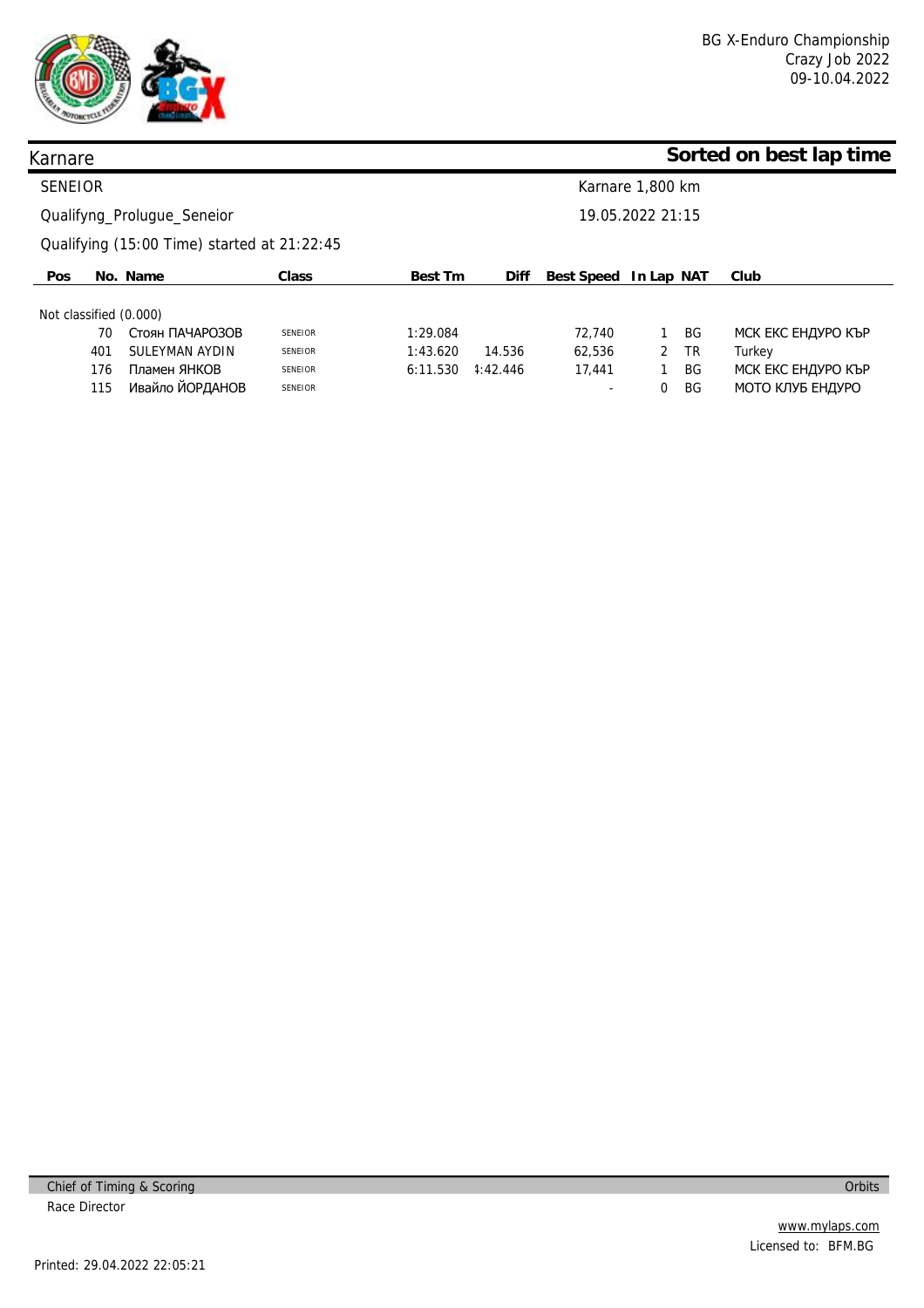

### **Sorted on best lap time**

| <b>SENEIOR</b>             |     |                                             |                |                | Karnare 1,800 km |                          |   |           |                    |  |  |
|----------------------------|-----|---------------------------------------------|----------------|----------------|------------------|--------------------------|---|-----------|--------------------|--|--|
| Qualifyng_Prolugue_Seneior |     |                                             |                |                | 19.05.2022 21:15 |                          |   |           |                    |  |  |
|                            |     | Qualifying (15:00 Time) started at 21:22:45 |                |                |                  |                          |   |           |                    |  |  |
| <b>Pos</b>                 |     | No. Name                                    | Class          | <b>Best Tm</b> | Diff             | Best Speed In Lap NAT    |   |           | Club               |  |  |
| Not classified (0.000)     |     |                                             |                |                |                  |                          |   |           |                    |  |  |
|                            | 70  | Стоян ПАЧАРОЗОВ                             | <b>SENEIOR</b> | 1:29.084       |                  | 72.740                   |   | <b>BG</b> | МСК ЕКС ЕНДУРО КЪР |  |  |
|                            | 401 | SULEYMAN AYDIN                              | <b>SENEIOR</b> | 1:43.620       | 14.536           | 62.536                   | 2 | <b>TR</b> | Turkey             |  |  |
|                            | 176 | Пламен ЯНКОВ                                | <b>SENEIOR</b> | 6:11.530       | 4:42.446         | 17,441                   |   | BG        | МСК ЕКС ЕНДУРО КЪР |  |  |
|                            | 115 | Ивайло ЙОРДАНОВ                             | <b>SENEIOR</b> |                |                  | $\overline{\phantom{a}}$ | 0 | BG        | МОТО КЛУБ ЕНДУРО   |  |  |